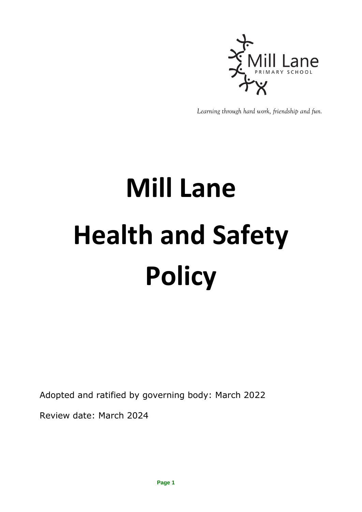

*Learning through hard work, friendship and fun.*

# **Mill Lane Health and Safety Policy**

Adopted and ratified by governing body: March 2022

Review date: March 2024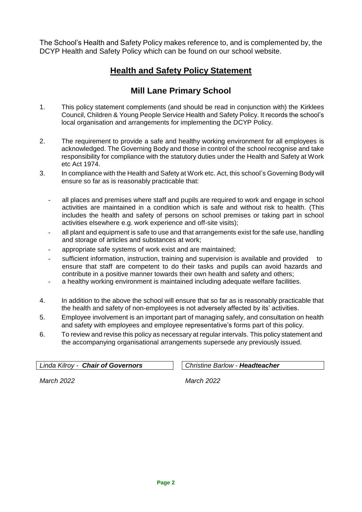The School's Health and Safety Policy makes reference to, and is complemented by, the DCYP Health and Safety Policy which can be found on our school website.

## **Health and Safety Policy Statement**

## **Mill Lane Primary School**

- 1. This policy statement complements (and should be read in conjunction with) the Kirklees Council, Children & Young People Service Health and Safety Policy. It records the school's local organisation and arrangements for implementing the DCYP Policy.
- 2. The requirement to provide a safe and healthy working environment for all employees is acknowledged. The Governing Body and those in control of the school recognise and take responsibility for compliance with the statutory duties under the Health and Safety at Work etc Act 1974.
- 3. In compliance with the Health and Safety at Work etc. Act, this school's Governing Body will ensure so far as is reasonably practicable that:
	- all places and premises where staff and pupils are required to work and engage in school activities are maintained in a condition which is safe and without risk to health. (This includes the health and safety of persons on school premises or taking part in school activities elsewhere e.g. work experience and off-site visits);
	- all plant and equipment is safe to use and that arrangements exist for the safe use, handling and storage of articles and substances at work;
	- appropriate safe systems of work exist and are maintained;
	- sufficient information, instruction, training and supervision is available and provided to ensure that staff are competent to do their tasks and pupils can avoid hazards and contribute in a positive manner towards their own health and safety and others;
	- a healthy working environment is maintained including adequate welfare facilities.
- 4. In addition to the above the school will ensure that so far as is reasonably practicable that the health and safety of non-employees is not adversely affected by its' activities.
- 5. Employee involvement is an important part of managing safely, and consultation on health and safety with employees and employee representative's forms part of this policy.
- 6. To review and revise this policy as necessary at regular intervals. This policy statement and the accompanying organisational arrangements supersede any previously issued.

*Linda Kilroy - Chair of Governors Christine Barlow - Headteacher*

*March 2022 March 2022*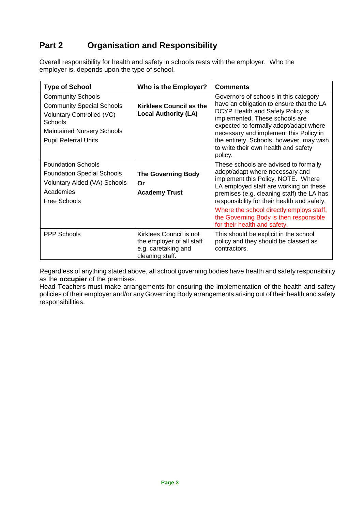# **Part 2 Organisation and Responsibility**

Overall responsibility for health and safety in schools rests with the employer. Who the employer is, depends upon the type of school.

| <b>Type of School</b>                                                                                                                                                           | Who is the Employer?                                                                           | <b>Comments</b>                                                                                                                                                                                                                                                                                                                                                            |
|---------------------------------------------------------------------------------------------------------------------------------------------------------------------------------|------------------------------------------------------------------------------------------------|----------------------------------------------------------------------------------------------------------------------------------------------------------------------------------------------------------------------------------------------------------------------------------------------------------------------------------------------------------------------------|
| <b>Community Schools</b><br><b>Community Special Schools</b><br>Voluntary Controlled (VC)<br><b>Schools</b><br><b>Maintained Nursery Schools</b><br><b>Pupil Referral Units</b> | <b>Kirklees Council as the</b><br><b>Local Authority (LA)</b>                                  | Governors of schools in this category<br>have an obligation to ensure that the LA<br>DCYP Health and Safety Policy is<br>implemented. These schools are<br>expected to formally adopt/adapt where<br>necessary and implement this Policy in<br>the entirety. Schools, however, may wish<br>to write their own health and safety<br>policy.                                 |
| <b>Foundation Schools</b><br><b>Foundation Special Schools</b><br><b>Voluntary Aided (VA) Schools</b><br>Academies<br>Free Schools                                              | <b>The Governing Body</b><br>Or<br><b>Academy Trust</b>                                        | These schools are advised to formally<br>adopt/adapt where necessary and<br>implement this Policy. NOTE. Where<br>LA employed staff are working on these<br>premises (e.g. cleaning staff) the LA has<br>responsibility for their health and safety.<br>Where the school directly employs staff,<br>the Governing Body is then responsible<br>for their health and safety. |
| <b>PPP Schools</b>                                                                                                                                                              | Kirklees Council is not<br>the employer of all staff<br>e.g. caretaking and<br>cleaning staff. | This should be explicit in the school<br>policy and they should be classed as<br>contractors.                                                                                                                                                                                                                                                                              |

Regardless of anything stated above, all school governing bodies have health and safety responsibility as the **occupier** of the premises.

Head Teachers must make arrangements for ensuring the implementation of the health and safety policies of their employer and/or any Governing Body arrangements arising out of their health and safety responsibilities.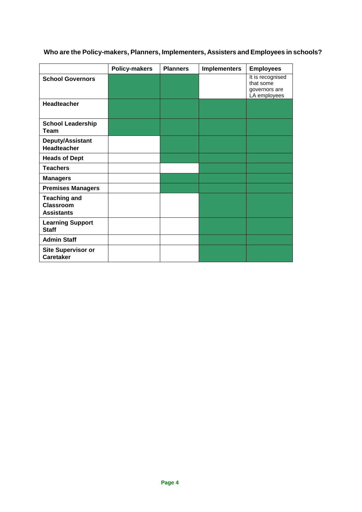|                                                              | <b>Policy-makers</b> | <b>Planners</b> | <b>Implementers</b> | <b>Employees</b>                                               |
|--------------------------------------------------------------|----------------------|-----------------|---------------------|----------------------------------------------------------------|
| <b>School Governors</b>                                      |                      |                 |                     | It is recognised<br>that some<br>governors are<br>LA employees |
| Headteacher                                                  |                      |                 |                     |                                                                |
| <b>School Leadership</b><br><b>Team</b>                      |                      |                 |                     |                                                                |
| Deputy/Assistant<br>Headteacher                              |                      |                 |                     |                                                                |
| <b>Heads of Dept</b>                                         |                      |                 |                     |                                                                |
| <b>Teachers</b>                                              |                      |                 |                     |                                                                |
| <b>Managers</b>                                              |                      |                 |                     |                                                                |
| <b>Premises Managers</b>                                     |                      |                 |                     |                                                                |
| <b>Teaching and</b><br><b>Classroom</b><br><b>Assistants</b> |                      |                 |                     |                                                                |
| <b>Learning Support</b><br><b>Staff</b>                      |                      |                 |                     |                                                                |
| <b>Admin Staff</b>                                           |                      |                 |                     |                                                                |
| <b>Site Supervisor or</b><br><b>Caretaker</b>                |                      |                 |                     |                                                                |

# **Who are the Policy-makers, Planners, Implementers, Assisters and Employees in schools?**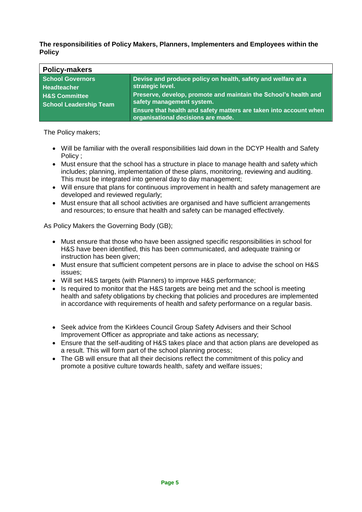**The responsibilities of Policy Makers, Planners, Implementers and Employees within the Policy**

| <b>Policy-makers</b>                                                                                |                                                                                                                                                                                  |
|-----------------------------------------------------------------------------------------------------|----------------------------------------------------------------------------------------------------------------------------------------------------------------------------------|
| <b>School Governors</b><br>Headteacher<br><b>H&amp;S Committee</b><br><b>School Leadership Team</b> | Devise and produce policy on health, safety and welfare at a<br>strategic level.<br>Preserve, develop, promote and maintain the School's health and<br>safety management system. |
|                                                                                                     | Ensure that health and safety matters are taken into account when<br>organisational decisions are made.                                                                          |

The Policy makers;

- Will be familiar with the overall responsibilities laid down in the DCYP Health and Safety Policy ;
- Must ensure that the school has a structure in place to manage health and safety which includes; planning, implementation of these plans, monitoring, reviewing and auditing. This must be integrated into general day to day management;
- Will ensure that plans for continuous improvement in health and safety management are developed and reviewed regularly;
- Must ensure that all school activities are organised and have sufficient arrangements and resources; to ensure that health and safety can be managed effectively.

As Policy Makers the Governing Body (GB);

- Must ensure that those who have been assigned specific responsibilities in school for H&S have been identified, this has been communicated, and adequate training or instruction has been given;
- Must ensure that sufficient competent persons are in place to advise the school on H&S issues;
- Will set H&S targets (with Planners) to improve H&S performance;
- Is required to monitor that the H&S targets are being met and the school is meeting health and safety obligations by checking that policies and procedures are implemented in accordance with requirements of health and safety performance on a regular basis.
- Seek advice from the Kirklees Council Group Safety Advisers and their School Improvement Officer as appropriate and take actions as necessary;
- Ensure that the self-auditing of H&S takes place and that action plans are developed as a result. This will form part of the school planning process;
- The GB will ensure that all their decisions reflect the commitment of this policy and promote a positive culture towards health, safety and welfare issues;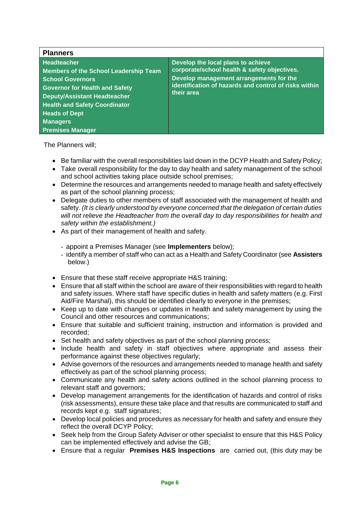| <b>Planners</b>                                                                                                                                                                                                                                                                             |                                                                                                                                                                                                      |  |  |  |
|---------------------------------------------------------------------------------------------------------------------------------------------------------------------------------------------------------------------------------------------------------------------------------------------|------------------------------------------------------------------------------------------------------------------------------------------------------------------------------------------------------|--|--|--|
| <b>Headteacher</b><br><b>Members of the School Leadership Team</b><br><b>School Governors</b><br><b>Governor for Health and Safety</b><br><b>Deputy/Assistant Headteacher</b><br><b>Health and Safety Coordinator</b><br><b>Heads of Dept</b><br><b>Managers</b><br><b>Premises Manager</b> | Develop the local plans to achieve<br>corporate/school health & safety objectives.<br>Develop management arrangements for the<br>identification of hazards and control of risks within<br>their area |  |  |  |

The Planners will;

- Be familiar with the overall responsibilities laid down in the DCYP Health and Safety Policy;
- Take overall responsibility for the day to day health and safety management of the school and school activities taking place outside school premises;
- Determine the resources and arrangements needed to manage health and safety effectively as part of the school planning process;
- Delegate duties to other members of staff associated with the management of health and safety. *(It is clearly understood by everyone concerned that the delegation of certain duties will not relieve the Headteacher from the overall day to day responsibilities for health and safety within the establishment.)*
- As part of their management of health and safety.
	- appoint a Premises Manager (see **Implementers** below);
	- identify a member of staff who can act as a Health and Safety Coordinator (see **Assisters** below.)
- Ensure that these staff receive appropriate H&S training;
- Ensure that all staff within the school are aware of their responsibilities with regard to health and safety issues. Where staff have specific duties in health and safety matters (e.g. First Aid/Fire Marshal), this should be identified clearly to everyone in the premises;
- Keep up to date with changes or updates in health and safety management by using the Council and other resources and communications;
- Ensure that suitable and sufficient training, instruction and information is provided and recorded;
- Set health and safety objectives as part of the school planning process;
- Include health and safety in staff objectives where appropriate and assess their performance against these objectives regularly;
- Advise governors of the resources and arrangements needed to manage health and safety effectively as part of the school planning process;
- Communicate any health and safety actions outlined in the school planning process to relevant staff and governors;
- Develop management arrangements for the identification of hazards and control of risks (risk assessments), ensure these take place and that results are communicated to staff and records kept e.g. staff signatures;
- Develop local policies and procedures as necessary for health and safety and ensure they reflect the overall DCYP Policy;
- Seek help from the Group Safety Adviser or other specialist to ensure that this H&S Policy can be implemented effectively and advise the GB;
- Ensure that a regular **Premises H&S Inspections** are carried out, (this duty may be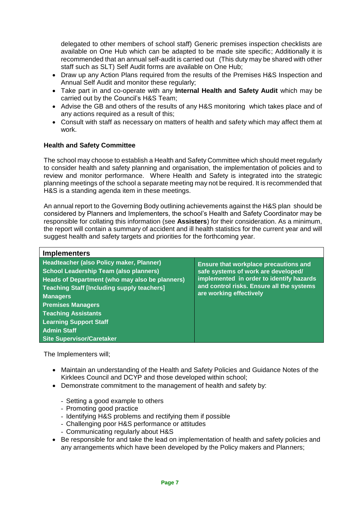delegated to other members of school staff) Generic premises inspection checklists are available on One Hub which can be adapted to be made site specific; Additionally it is recommended that an annual self-audit is carried out (This duty may be shared with other staff such as SLT) Self Audit forms are available on One Hub;

- Draw up any Action Plans required from the results of the Premises H&S Inspection and Annual Self Audit and monitor these regularly;
- Take part in and co-operate with any **Internal Health and Safety Audit** which may be carried out by the Council's H&S Team;
- Advise the GB and others of the results of any H&S monitoring which takes place and of any actions required as a result of this;
- Consult with staff as necessary on matters of health and safety which may affect them at work.

#### **Health and Safety Committee**

The school may choose to establish a Health and Safety Committee which should meet regularly to consider health and safety planning and organisation, the implementation of policies and to review and monitor performance. Where Health and Safety is integrated into the strategic planning meetings of the school a separate meeting may not be required. It is recommended that H&S is a standing agenda item in these meetings.

An annual report to the Governing Body outlining achievements against the H&S plan should be considered by Planners and Implementers, the school's Health and Safety Coordinator may be responsible for collating this information (see **Assisters**) for their consideration. As a minimum, the report will contain a summary of accident and ill health statistics for the current year and will suggest health and safety targets and priorities for the forthcoming year.

| <b>Implementers</b>                                                                                                                                                                                                                                                                                                                                                      |                                                                                                                                                                                                         |
|--------------------------------------------------------------------------------------------------------------------------------------------------------------------------------------------------------------------------------------------------------------------------------------------------------------------------------------------------------------------------|---------------------------------------------------------------------------------------------------------------------------------------------------------------------------------------------------------|
| Headteacher (also Policy maker, Planner)<br><b>School Leadership Team (also planners)</b><br>Heads of Department (who may also be planners)<br><b>Teaching Staff [Including supply teachers]</b><br><b>Managers</b><br><b>Premises Managers</b><br><b>Teaching Assistants</b><br><b>Learning Support Staff</b><br><b>Admin Staff</b><br><b>Site Supervisor/Caretaker</b> | <b>Ensure that workplace precautions and</b><br>safe systems of work are developed/<br>implemented in order to identify hazards<br>and control risks. Ensure all the systems<br>are working effectively |

The Implementers will;

- Maintain an understanding of the Health and Safety Policies and Guidance Notes of the Kirklees Council and DCYP and those developed within school;
- Demonstrate commitment to the management of health and safety by:
	- Setting a good example to others
	- Promoting good practice
	- Identifying H&S problems and rectifying them if possible
	- Challenging poor H&S performance or attitudes
	- Communicating regularly about H&S
- Be responsible for and take the lead on implementation of health and safety policies and any arrangements which have been developed by the Policy makers and Planners;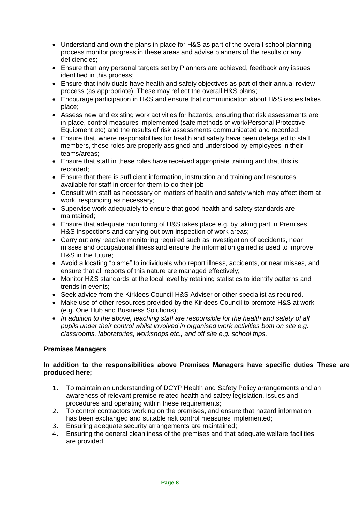- Understand and own the plans in place for H&S as part of the overall school planning process monitor progress in these areas and advise planners of the results or any deficiencies;
- Ensure than any personal targets set by Planners are achieved, feedback any issues identified in this process;
- Ensure that individuals have health and safety objectives as part of their annual review process (as appropriate). These may reflect the overall H&S plans;
- Encourage participation in H&S and ensure that communication about H&S issues takes place;
- Assess new and existing work activities for hazards, ensuring that risk assessments are in place, control measures implemented (safe methods of work/Personal Protective Equipment etc) and the results of risk assessments communicated and recorded;
- Ensure that, where responsibilities for health and safety have been delegated to staff members, these roles are properly assigned and understood by employees in their teams/areas;
- Ensure that staff in these roles have received appropriate training and that this is recorded;
- Ensure that there is sufficient information, instruction and training and resources available for staff in order for them to do their job;
- Consult with staff as necessary on matters of health and safety which may affect them at work, responding as necessary;
- Supervise work adequately to ensure that good health and safety standards are maintained;
- Ensure that adequate monitoring of H&S takes place e.g. by taking part in Premises H&S Inspections and carrying out own inspection of work areas;
- Carry out any reactive monitoring required such as investigation of accidents, near misses and occupational illness and ensure the information gained is used to improve H&S in the future;
- Avoid allocating "blame" to individuals who report illness, accidents, or near misses, and ensure that all reports of this nature are managed effectively;
- Monitor H&S standards at the local level by retaining statistics to identify patterns and trends in events;
- Seek advice from the Kirklees Council H&S Adviser or other specialist as required.
- Make use of other resources provided by the Kirklees Council to promote H&S at work (e.g. One Hub and Business Solutions);
- *In addition to the above, teaching staff are responsible for the health and safety of all pupils under their control whilst involved in organised work activities both on site e.g. classrooms, laboratories, workshops etc., and off site e.g. school trips.*

#### **Premises Managers**

#### **In addition to the responsibilities above Premises Managers have specific duties These are produced here;**

- 1. To maintain an understanding of DCYP Health and Safety Policy arrangements and an awareness of relevant premise related health and safety legislation, issues and procedures and operating within these requirements;
- 2. To control contractors working on the premises, and ensure that hazard information has been exchanged and suitable risk control measures implemented;
- 3. Ensuring adequate security arrangements are maintained;<br>4. Ensuring the general cleanliness of the premises and that a
- 4. Ensuring the general cleanliness of the premises and that adequate welfare facilities are provided;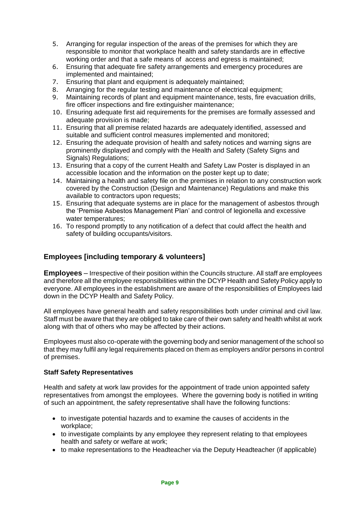- 5. Arranging for regular inspection of the areas of the premises for which they are responsible to monitor that workplace health and safety standards are in effective working order and that a safe means of access and egress is maintained;
- 6. Ensuring that adequate fire safety arrangements and emergency procedures are implemented and maintained;
- 7. Ensuring that plant and equipment is adequately maintained;
- 8. Arranging for the regular testing and maintenance of electrical equipment;
- 9. Maintaining records of plant and equipment maintenance, tests, fire evacuation drills, fire officer inspections and fire extinguisher maintenance;
- 10. Ensuring adequate first aid requirements for the premises are formally assessed and adequate provision is made;
- 11. Ensuring that all premise related hazards are adequately identified, assessed and suitable and sufficient control measures implemented and monitored;
- 12. Ensuring the adequate provision of health and safety notices and warning signs are prominently displayed and comply with the Health and Safety (Safety Signs and Signals) Regulations;
- 13. Ensuring that a copy of the current Health and Safety Law Poster is displayed in an accessible location and the information on the poster kept up to date;
- 14. Maintaining a health and safety file on the premises in relation to any construction work covered by the Construction (Design and Maintenance) Regulations and make this available to contractors upon requests;
- 15. Ensuring that adequate systems are in place for the management of asbestos through the 'Premise Asbestos Management Plan' and control of legionella and excessive water temperatures;
- 16. To respond promptly to any notification of a defect that could affect the health and safety of building occupants/visitors.

#### **Employees [including temporary & volunteers]**

**Employees** – Irrespective of their position within the Councils structure. All staff are employees and therefore all the employee responsibilities within the DCYP Health and Safety Policy apply to everyone. All employees in the establishment are aware of the responsibilities of Employees laid down in the DCYP Health and Safety Policy.

All employees have general health and safety responsibilities both under criminal and civil law. Staff must be aware that they are obliged to take care of their own safety and health whilst at work along with that of others who may be affected by their actions.

Employees must also co-operate with the governing body and senior management of the school so that they may fulfil any legal requirements placed on them as employers and/or persons in control of premises.

#### **Staff Safety Representatives**

Health and safety at work law provides for the appointment of trade union appointed safety representatives from amongst the employees. Where the governing body is notified in writing of such an appointment, the safety representative shall have the following functions:

- to investigate potential hazards and to examine the causes of accidents in the workplace;
- to investigate complaints by any employee they represent relating to that employees health and safety or welfare at work;
- to make representations to the Headteacher via the Deputy Headteacher (if applicable)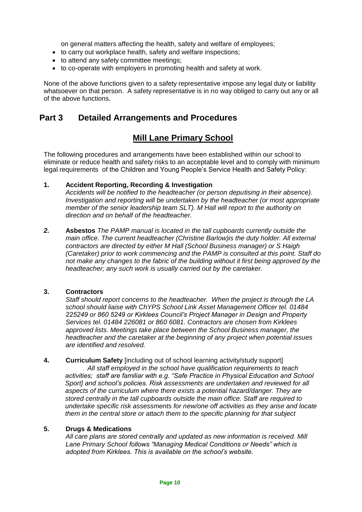on general matters affecting the health, safety and welfare of employees;

- to carry out workplace health, safety and welfare inspections;
- to attend any safety committee meetings;
- to co-operate with employers in promoting health and safety at work.

None of the above functions given to a safety representative impose any legal duty or liability whatsoever on that person. A safety representative is in no way obliged to carry out any or all of the above functions.

### **Part 3 Detailed Arrangements and Procedures**

## **Mill Lane Primary School**

The following procedures and arrangements have been established within our school to eliminate or reduce health and safety risks to an acceptable level and to comply with minimum legal requirements of the Children and Young People's Service Health and Safety Policy:

#### **1. Accident Reporting, Recording & Investigation**

*Accidents will be notified to the headteacher (or person deputising in their absence). Investigation and reporting will be undertaken by the headteacher (or most appropriate member of the senior leadership team SLT). M Hall will report to the authority on direction and on behalf of the headteacher.* 

*2.* **Asbestos** *The PAMP manual is located in the tall cupboards currently outside the main office. The current headteacher (Christine Barlow)is the duty holder. All external contractors are directed by either M Hall (School Business manager) or S Haigh (Caretaker) prior to work commencing and the PAMP is consulted at this point. Staff do not make any changes to the fabric of the building without it first being approved by the headteacher; any such work is usually carried out by the caretaker.*

#### **3. Contractors**

*Staff should report concerns to the headteacher. When the project is through the LA school should liaise with ChYPS School Link Asset Management Officer tel. 01484 225249 or 860 5249 or Kirklees Council's Project Manager in Design and Property Services tel. 01484 226081 or 860 6081. Contractors are chosen from Kirklees approved lists. Meetings take place between the School Business manager, the headteacher and the caretaker at the beginning of any project when potential issues are identified and resolved.*

**4. Curriculum Safety** [including out of school learning activity/study support]

*All staff employed in the school have qualification requirements to teach activities; staff are familiar with e.g. "Safe Practice in Physical Education and School Sport] and school's policies. Risk assessments are undertaken and reviewed for all aspects of the curriculum where there exists a potential hazard/danger. They are stored centrally in the tall cupboards outside the main office. Staff are required to undertake specific risk assessments for new/one off activities as they arise and locate them in the central store or attach them to the specific planning for that subject*

#### **5. Drugs & Medications**

*All care plans are stored centrally and updated as new information is received. Mill Lane Primary School follows "Managing Medical Conditions or Needs" which is adopted from Kirklees. This is available on the school's website.*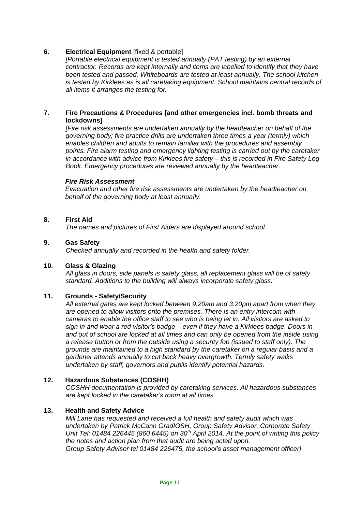#### **6. Electrical Equipment** [fixed & portable]

*[Portable electrical equipment is tested annually (PAT testing) by an external contractor. Records are kept internally and items are labelled to identify that they have been tested and passed. Whiteboards are tested at least annually. The school kitchen is tested by Kirklees as is all caretaking equipment. School maintains central records of all items it arranges the testing for.*

#### **7. Fire Precautions & Procedures [and other emergencies incl. bomb threats and lockdowns]**

*[Fire risk assessments are undertaken annually by the headteacher on behalf of the governing body; fire practice drills are undertaken three times a year (termly) which enables children and adults to remain familiar with the procedures and assembly points. Fire alarm testing and emergency lighting testing is carried out by the caretaker in accordance with advice from Kirklees fire safety – this is recorded in Fire Safety Log Book. Emergency procedures are reviewed annually by the headteacher.* 

#### *Fire Risk Assessment*

*Evacuation and other fire risk assessments are undertaken by the headteacher on behalf of the governing body at least annually.*

#### **8. First Aid**

*The names and pictures of First Aiders are displayed around school.*

#### **9. Gas Safety**

*Checked annually and recorded in the health and safety folder.*

#### **10. Glass & Glazing**

*All glass in doors, side panels is safety glass, all replacement glass will be of safety standard. Additions to the building will always incorporate safety glass.*

#### **11. Grounds - Safety/Security**

*All external gates are kept locked between 9.20am and 3.20pm apart from when they are opened to allow visitors onto the premises. There is an entry intercom with cameras to enable the office staff to see who is being let in. All visitors are asked to sign in and wear a red visitor's badge – even if they have a Kirklees badge. Doors in and out of school are locked at all times and can only be opened from the inside using a release button or from the outside using a security fob (issued to staff only). The grounds are maintained to a high standard by the caretaker on a regular basis and a gardener attends annually to cut back heavy overgrowth. Termly safety walks undertaken by staff, governors and pupils identify potential hazards.*

#### **12. Hazardous Substances (COSHH)**

*COSHH documentation is provided by caretaking services. All hazardous substances are kept locked in the caretaker's room at all times.*

#### **13. Health and Safety Advice**

*Mill Lane has requested and received a full health and safety audit which was undertaken by Patrick McCann GradIOSH, Group Safety Advisor, Corporate Safety Unit Tel: 01484 226445 (860 6445) on 30th April 2014. At the point of writing this policy the notes and action plan from that audit are being acted upon. Group Safety Advisor tel 01484 226475, the school's asset management officer]*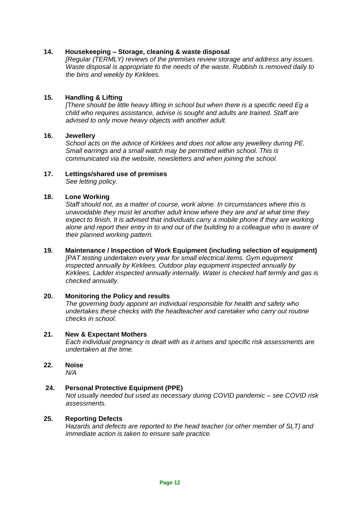#### **14. Housekeeping – Storage, cleaning & waste disposal**

*[Regular (TERMLY) reviews of the premises review storage and address any issues. Waste disposal is appropriate to the needs of the waste. Rubbish is removed daily to the bins and weekly by Kirklees.*

#### **15. Handling & Lifting**

*[There should be little heavy lifting in school but when there is a specific need Eg a child who requires assistance, advise is sought and adults are trained. Staff are advised to only move heavy objects with another adult.*

#### **16. Jewellery**

*School acts on the advice of Kirklees and does not allow any jewellery during PE. Small earrings and a small watch may be permitted within school. This is communicated via the website, newsletters and when joining the school.*

#### **17. Lettings/shared use of premises**

*See letting policy.*

#### **18. Lone Working**

*Staff should not, as a matter of course, work alone. In circumstances where this is unavoidable they must let another adult know where they are and at what time they*  expect to finish. It is advised that individuals carry a mobile phone if they are working *alone and report their entry in to and out of the building to a colleague who is aware of their planned working pattern.*

#### **19. Maintenance / Inspection of Work Equipment (including selection of equipment)**

*[PAT testing undertaken every year for small electrical items. Gym equipment inspected annually by Kirklees. Outdoor play equipment inspected annually by Kirklees. Ladder inspected annually internally. Water is checked half termly and gas is checked annually.*

#### **20. Monitoring the Policy and results**

*The governing body appoint an individual responsible for health and safety who undertakes these checks with the headteacher and caretaker who carry out routine checks in school.*

#### **21. New & Expectant Mothers**

*Each individual pregnancy is dealt with as it arises and specific risk assessments are undertaken at the time.*

**22. Noise** *N/A*

#### **24. Personal Protective Equipment (PPE)**

*Not usually needed but used as necessary during COVID pandemic – see COVID risk assessments.*

#### **25. Reporting Defects**

*Hazards and defects are reported to the head teacher (or other member of SLT) and immediate action is taken to ensure safe practice.*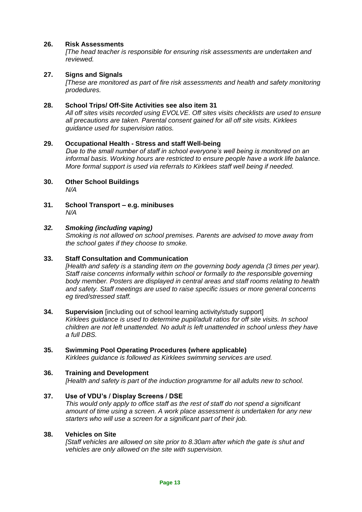#### **26. Risk Assessments**

*[The head teacher is responsible for ensuring risk assessments are undertaken and reviewed.*

#### **27. Signs and Signals**

*[These are monitored as part of fire risk assessments and health and safety monitoring prodedures.*

#### **28. School Trips/ Off-Site Activities see also item 31**

*All off sites visits recorded using EVOLVE. Off sites visits checklists are used to ensure all precautions are taken. Parental consent gained for all off site visits. Kirklees guidance used for supervision ratios.*

#### **29. Occupational Health - Stress and staff Well-being**

*Due to the small number of staff in school everyone's well being is monitored on an informal basis. Working hours are restricted to ensure people have a work life balance. More formal support is used via referrals to Kirklees staff well being if needed.*

- **30. Other School Buildings** *N/A*
- **31. School Transport – e.g. minibuses** *N/A*

#### *32. Smoking (including vaping)*

*Smoking is not allowed on school premises. Parents are advised to move away from the school gates if they choose to smoke.*

#### **33. Staff Consultation and Communication**

*[Health and safety is a standing item on the governing body agenda (3 times per year). Staff raise concerns informally within school or formally to the responsible governing body member. Posters are displayed in central areas and staff rooms relating to health and safety. Staff meetings are used to raise specific issues or more general concerns eg tired/stressed staff.*

**34. Supervision** [including out of school learning activity/study support] *Kirklees guidance is used to determine pupil/adult ratios for off site visits. In school children are not left unattended. No adult is left unattended in school unless they have a full DBS.*

# **35. Swimming Pool Operating Procedures (where applicable)**

*Kirklees guidance is followed as Kirklees swimming services are used.*

#### **36. Training and Development**

*[Health and safety is part of the induction programme for all adults new to school.*

#### **37. Use of VDU's / Display Screens / DSE**

*This would only apply to office staff as the rest of staff do not spend a significant amount of time using a screen. A work place assessment is undertaken for any new starters who will use a screen for a significant part of their job.*

#### **38. Vehicles on Site**

*[Staff vehicles are allowed on site prior to 8.30am after which the gate is shut and vehicles are only allowed on the site with supervision.*